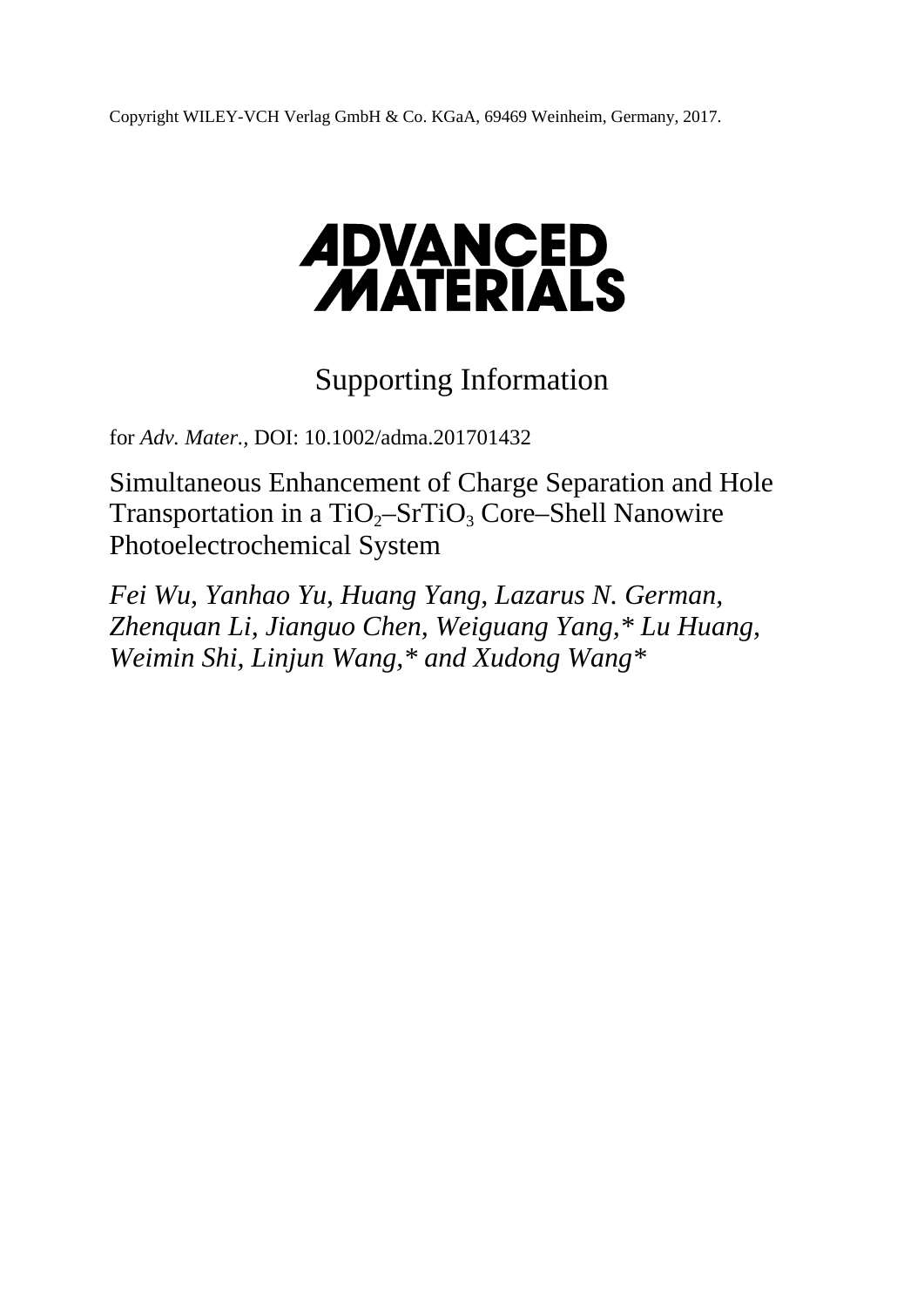Copyright WILEY-VCH Verlag GmbH & Co. KGaA, 69469 Weinheim, Germany, 2017.

## **ADVANCED<br>MATERIALS**

## Supporting Information

for *Adv. Mater.,* DOI: 10.1002/adma.201701432

Simultaneous Enhancement of Charge Separation and Hole Transportation in a  $TiO<sub>2</sub>-STIO<sub>3</sub> Core–Shell Nanowire$ Photoelectrochemical System

*Fei Wu, Yanhao Yu, Huang Yang, Lazarus N. German, Zhenquan Li, Jianguo Chen, Weiguang Yang,\* Lu Huang, Weimin Shi, Linjun Wang,\* and Xudong Wang\**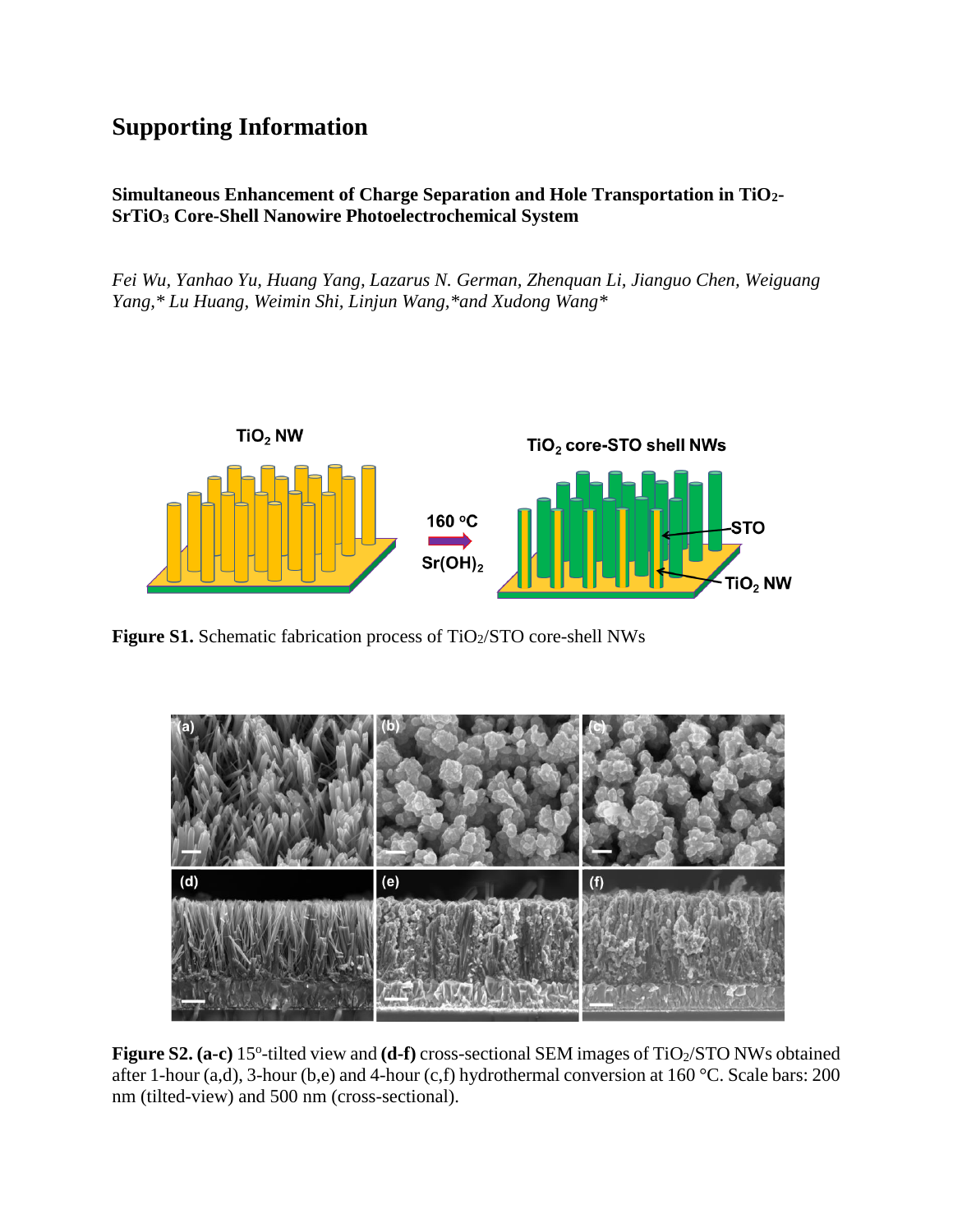## **Supporting Information**

## **Simultaneous Enhancement of Charge Separation and Hole Transportation in TiO2- SrTiO<sup>3</sup> Core-Shell Nanowire Photoelectrochemical System**

*Fei Wu, Yanhao Yu, Huang Yang, Lazarus N. German, Zhenquan Li, Jianguo Chen, Weiguang Yang,\* Lu Huang, Weimin Shi, Linjun Wang,\*and Xudong Wang\** 



**Figure S1.** Schematic fabrication process of TiO<sub>2</sub>/STO core-shell NWs



Figure S2. (a-c) 15<sup>°</sup>-tilted view and (d-f) cross-sectional SEM images of TiO<sub>2</sub>/STO NWs obtained after 1-hour (a,d), 3-hour (b,e) and 4-hour (c,f) hydrothermal conversion at 160 °C. Scale bars: 200 nm (tilted-view) and 500 nm (cross-sectional).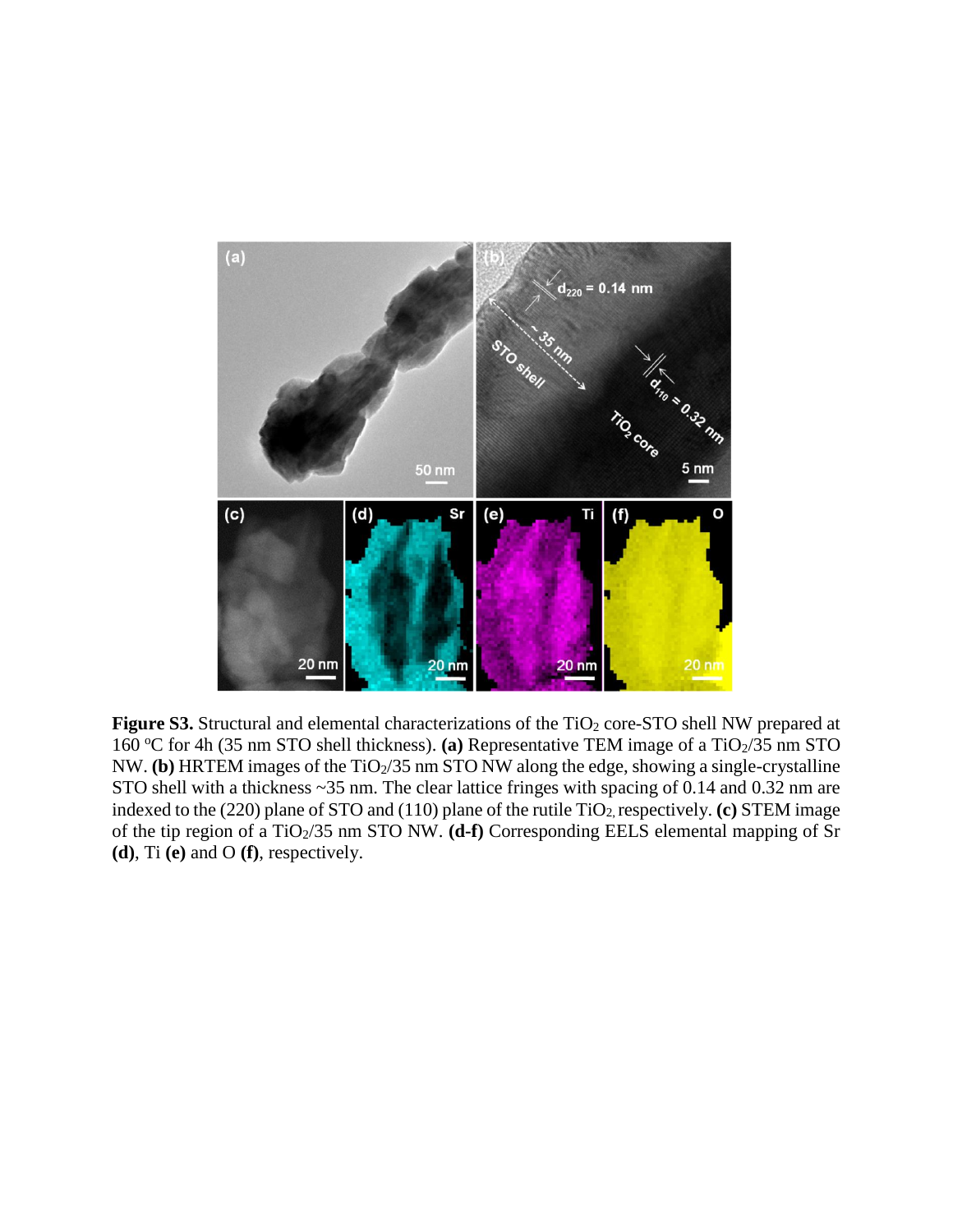

Figure S3. Structural and elemental characterizations of the TiO<sub>2</sub> core-STO shell NW prepared at 160 °C for 4h (35 nm STO shell thickness). (a) Representative TEM image of a TiO<sub>2</sub>/35 nm STO NW. **(b)** HRTEM images of the TiO<sub>2</sub>/35 nm STO NW along the edge, showing a single-crystalline STO shell with a thickness ~35 nm. The clear lattice fringes with spacing of 0.14 and 0.32 nm are indexed to the (220) plane of STO and (110) plane of the rutile TiO<sub>2</sub>, respectively. **(c)** STEM image of the tip region of a TiO<sub>2</sub>/35 nm STO NW. **(d-f)** Corresponding EELS elemental mapping of Sr **(d)**, Ti **(e)** and O **(f)**, respectively.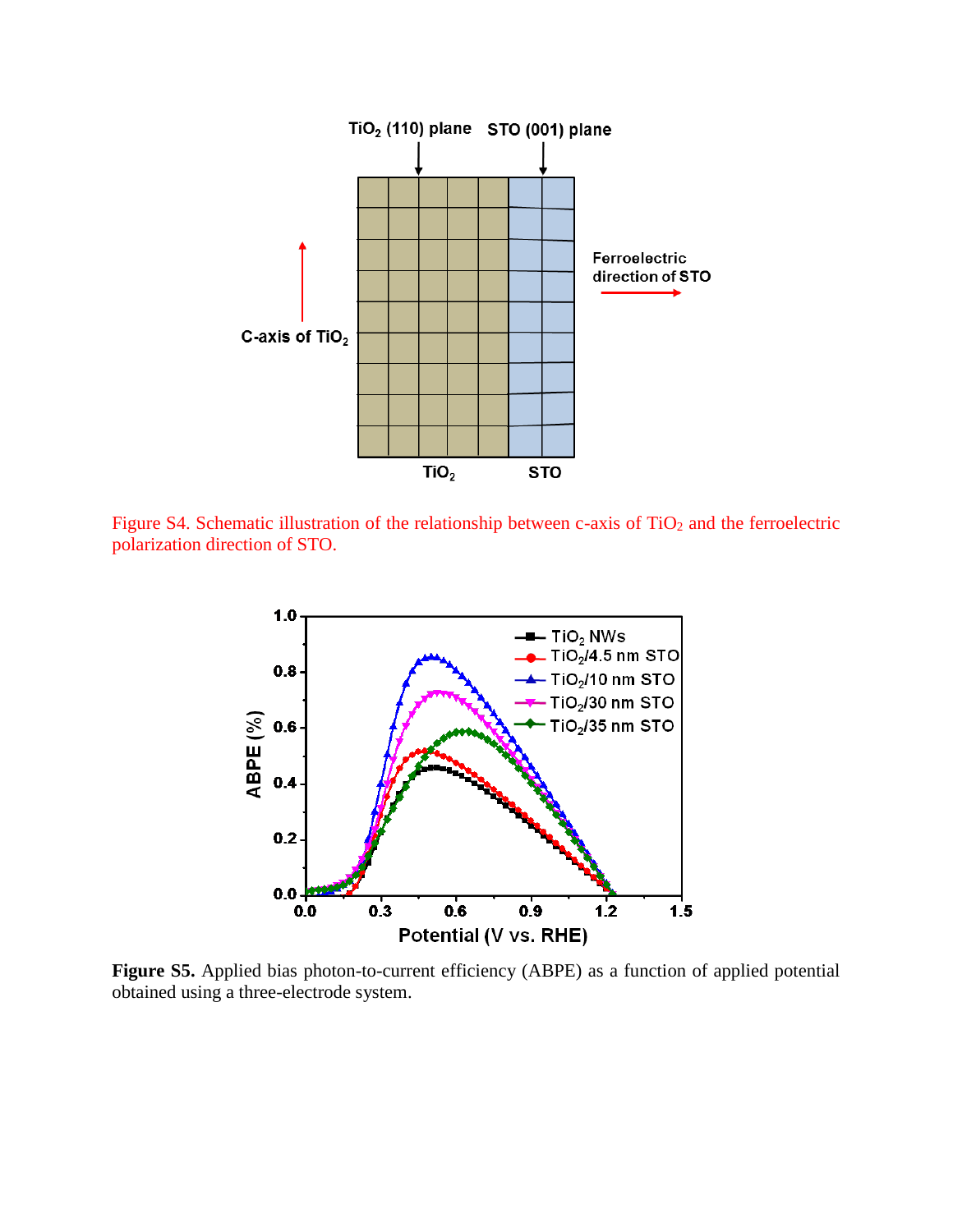

Figure S4. Schematic illustration of the relationship between c-axis of  $TiO<sub>2</sub>$  and the ferroelectric polarization direction of STO.



**Figure S5.** Applied bias photon-to-current efficiency (ABPE) as a function of applied potential obtained using a three-electrode system.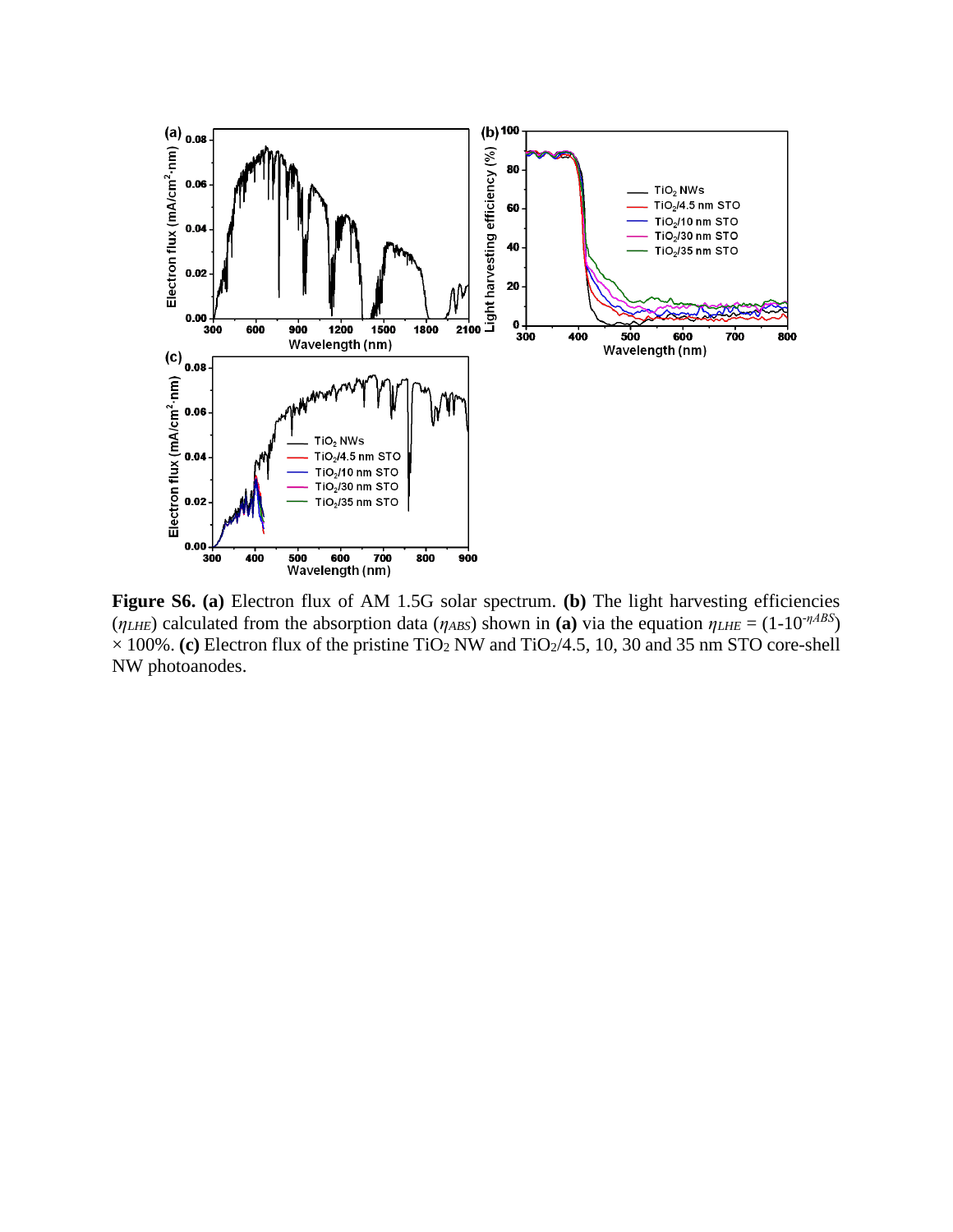

**Figure S6. (a)** Electron flux of AM 1.5G solar spectrum. **(b)** The light harvesting efficiencies (*ηLHE*) calculated from the absorption data (*ηABS*) shown in (a) via the equation  $η$ *LHE* = (1-10<sup>-*ηABS*</sup>)  $\times$ 100%. **(c)** Electron flux of the pristine TiO<sub>2</sub> NW and TiO<sub>2</sub>/4.5, 10, 30 and 35 nm STO core-shell NW photoanodes.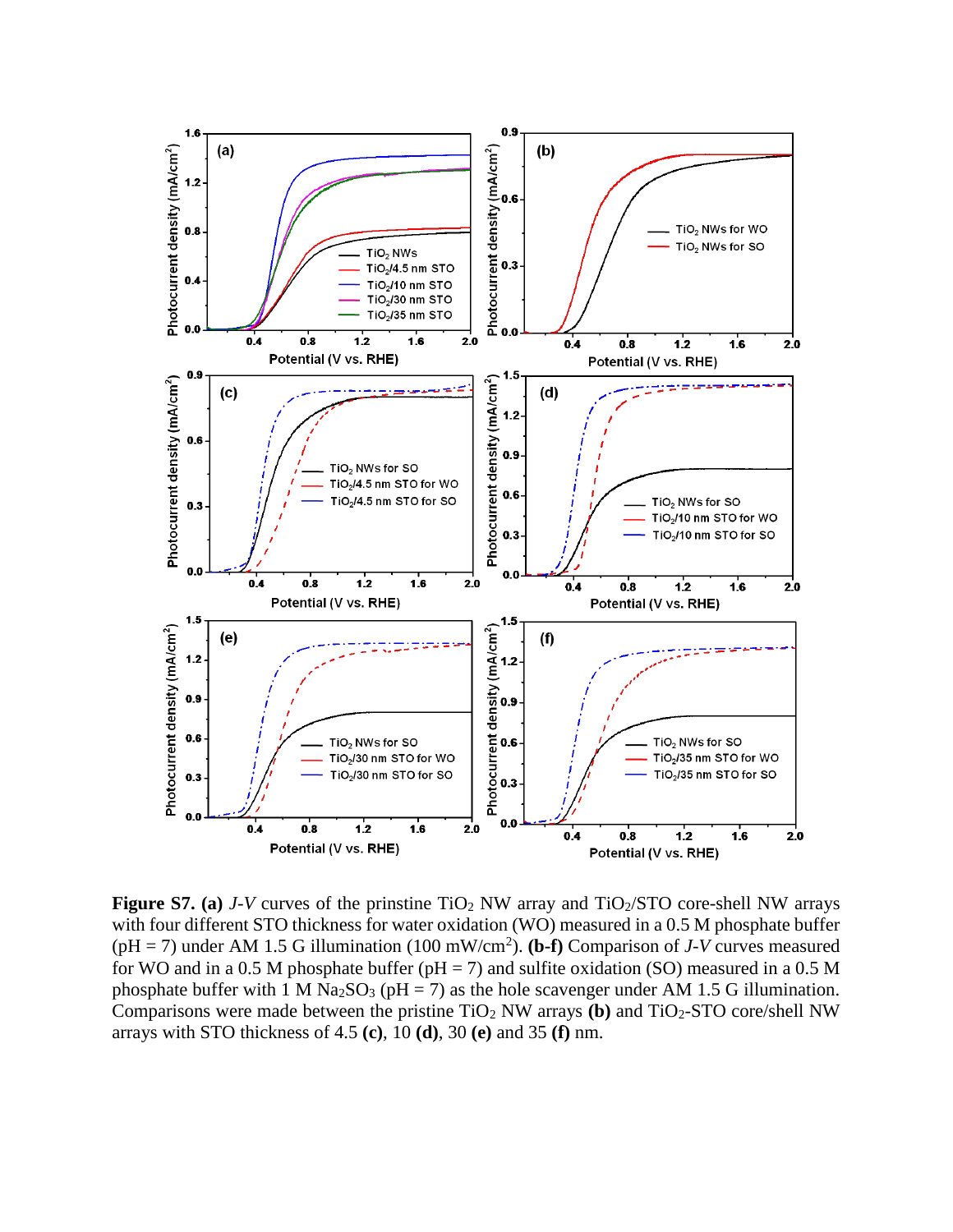

**Figure S7.** (a)  $J-V$  curves of the prinstine TiO<sub>2</sub> NW array and TiO<sub>2</sub>/STO core-shell NW arrays with four different STO thickness for water oxidation (WO) measured in a 0.5 M phosphate buffer ( $pH = 7$ ) under AM 1.5 G illumination (100 mW/cm<sup>2</sup>). (**b-f**) Comparison of *J-V* curves measured for WO and in a 0.5 M phosphate buffer ( $pH = 7$ ) and sulfite oxidation (SO) measured in a 0.5 M phosphate buffer with 1 M Na<sub>2</sub>SO<sub>3</sub> (pH = 7) as the hole scavenger under AM 1.5 G illumination. Comparisons were made between the pristine TiO<sup>2</sup> NW arrays **(b)** and TiO2-STO core/shell NW arrays with STO thickness of 4.5 **(c)**, 10 **(d)**, 30 **(e)** and 35 **(f)** nm.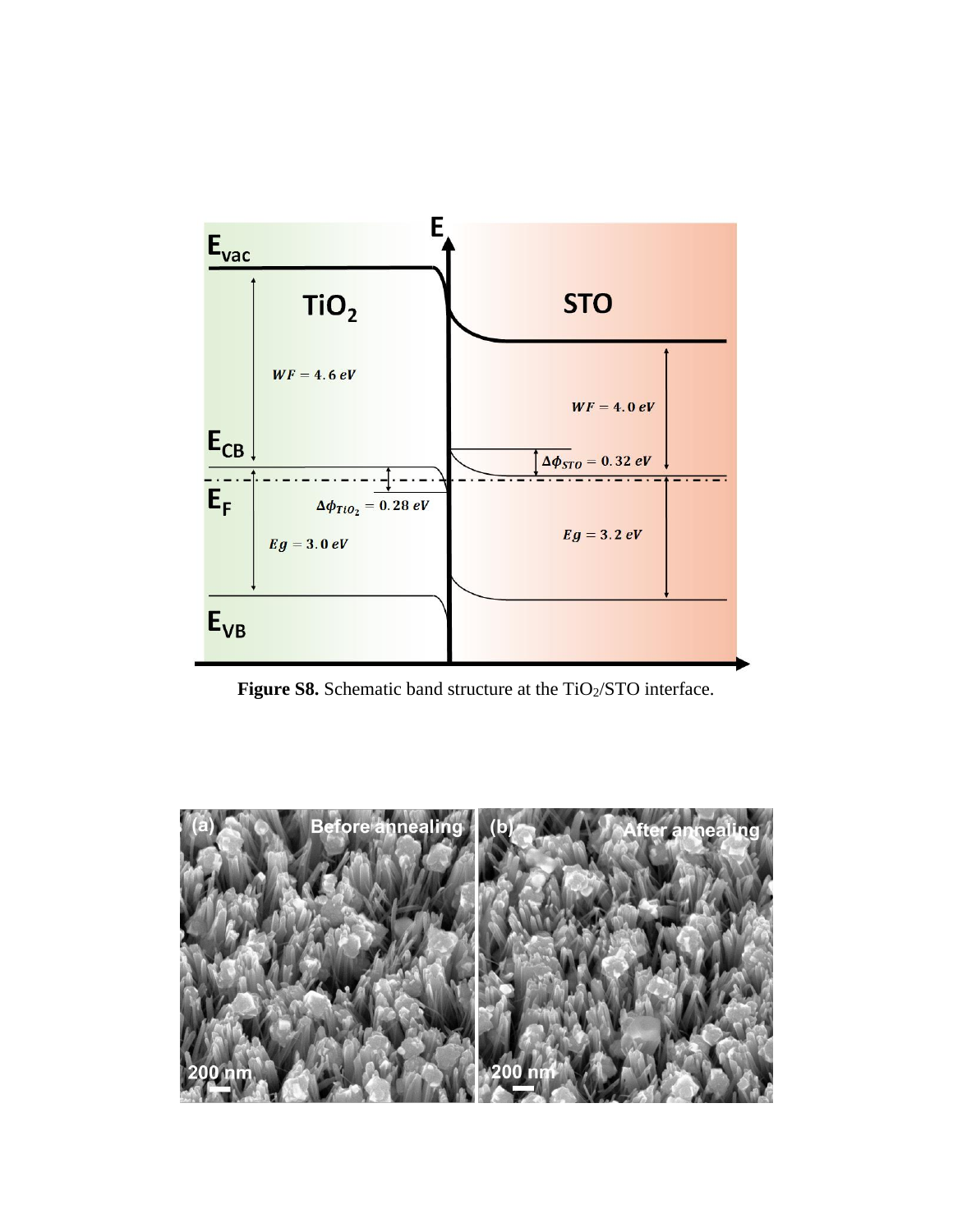

Figure S8. Schematic band structure at the TiO<sub>2</sub>/STO interface.

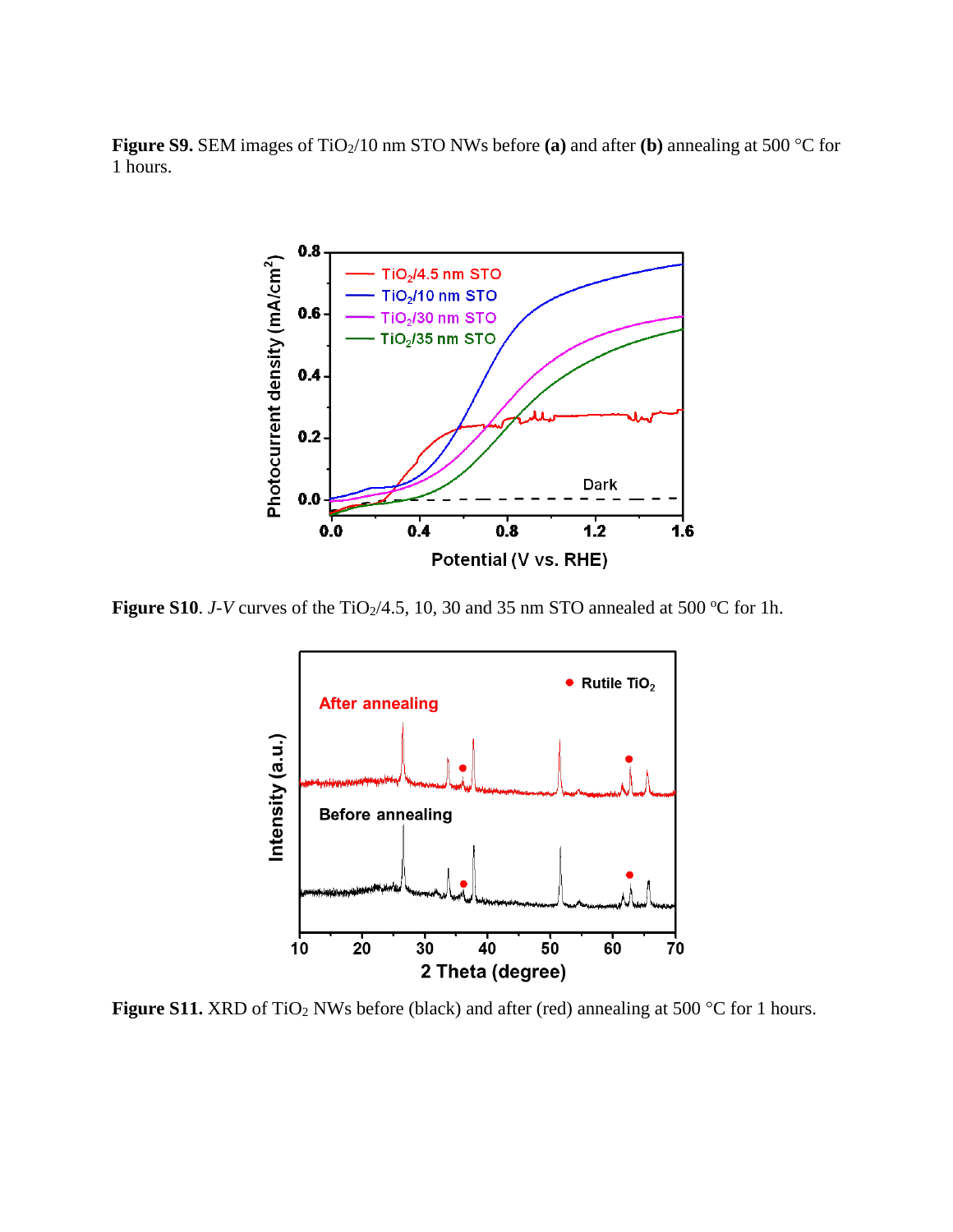**Figure S9.** SEM images of TiO<sub>2</sub>/10 nm STO NWs before (a) and after (b) annealing at 500 °C for 1 hours.



**Figure S10**. *J-V* curves of the TiO<sub>2</sub>/4.5, 10, 30 and 35 nm STO annealed at 500 °C for 1h.



**Figure S11.** XRD of TiO<sub>2</sub> NWs before (black) and after (red) annealing at 500 °C for 1 hours.